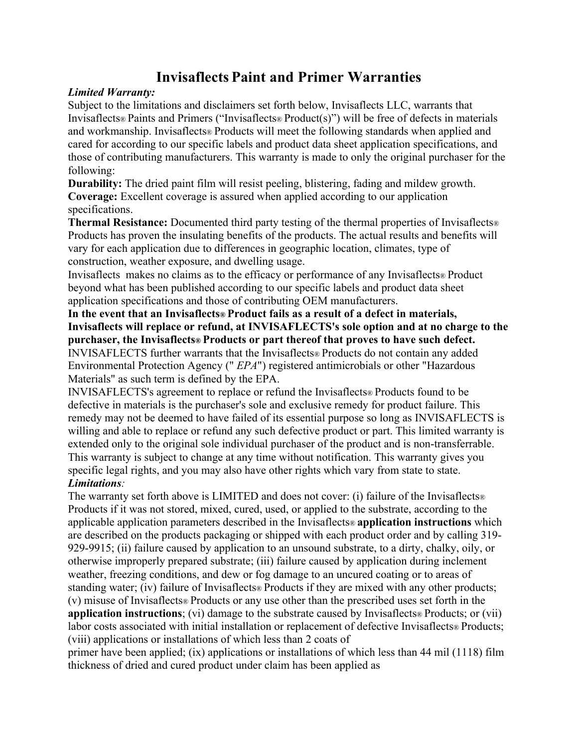# **Invisaflects Paint and Primer Warranties**

## *Limited Warranty:*

Subject to the limitations and disclaimers set forth below, Invisaflects LLC, warrants that Invisaflects® Paints and Primers ("Invisaflects® Product(s)") will be free of defects in materials and workmanship. Invisaflects® Products will meet the following standards when applied and cared for according to our specific labels and product data sheet application specifications, and those of contributing manufacturers. This warranty is made to only the original purchaser for the following:

**Durability:** The dried paint film will resist peeling, blistering, fading and mildew growth. **Coverage:** Excellent coverage is assured when applied according to our application specifications.

**Thermal Resistance:** Documented third party testing of the thermal properties of Invisaflects® Products has proven the insulating benefits of the products. The actual results and benefits will vary for each application due to differences in geographic location, climates, type of construction, weather exposure, and dwelling usage.

Invisaflects makes no claims as to the efficacy or performance of any Invisaflects® Product beyond what has been published according to our specific labels and product data sheet application specifications and those of contributing OEM manufacturers.

**In the event that an Invisaflects® Product fails as a result of a defect in materials, Invisaflects will replace or refund, at INVISAFLECTS's sole option and at no charge to the purchaser, the Invisaflects® Products or part thereof that proves to have such defect.**  INVISAFLECTS further warrants that the Invisaflects® Products do not contain any added Environmental Protection Agency (" *EPA*") registered antimicrobials or other "Hazardous Materials" as such term is defined by the EPA.

INVISAFLECTS's agreement to replace or refund the Invisaflects® Products found to be defective in materials is the purchaser's sole and exclusive remedy for product failure. This remedy may not be deemed to have failed of its essential purpose so long as INVISAFLECTS is willing and able to replace or refund any such defective product or part. This limited warranty is extended only to the original sole individual purchaser of the product and is non-transferrable. This warranty is subject to change at any time without notification. This warranty gives you specific legal rights, and you may also have other rights which vary from state to state. *Limitations:*

The warranty set forth above is LIMITED and does not cover: (i) failure of the Invisaflects $\infty$ Products if it was not stored, mixed, cured, used, or applied to the substrate, according to the applicable application parameters described in the Invisaflects® **application instructions** which are described on the products packaging or shipped with each product order and by calling 319- 929-9915; (ii) failure caused by application to an unsound substrate, to a dirty, chalky, oily, or otherwise improperly prepared substrate; (iii) failure caused by application during inclement weather, freezing conditions, and dew or fog damage to an uncured coating or to areas of standing water; (iv) failure of Invisaflects® Products if they are mixed with any other products; (v) misuse of Invisaflects® Products or any use other than the prescribed uses set forth in the **application instructions**; (vi) damage to the substrate caused by Invisaflects® Products; or (vii) labor costs associated with initial installation or replacement of defective Invisaflects® Products; (viii) applications or installations of which less than 2 coats of

primer have been applied; (ix) applications or installations of which less than 44 mil (1118) film thickness of dried and cured product under claim has been applied as